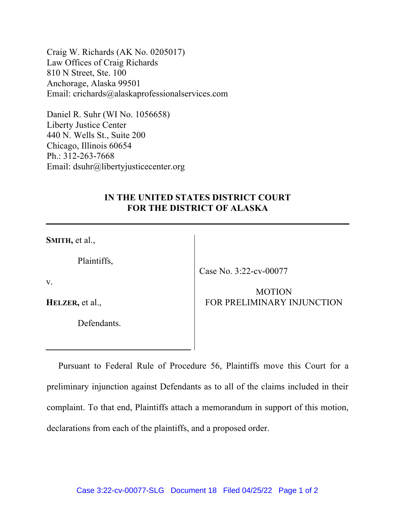Craig W. Richards (AK No. 0205017) Law Offices of Craig Richards 810 N Street, Ste. 100 Anchorage, Alaska 99501 Email: crichards@alaskaprofessionalservices.com

Daniel R. Suhr (WI No. 1056658) Liberty Justice Center 440 N. Wells St., Suite 200 Chicago, Illinois 60654 Ph.: 312-263-7668 Email: dsuhr@libertyjusticecenter.org

## **IN THE UNITED STATES DISTRICT COURT FOR THE DISTRICT OF ALASKA**

**SMITH,** et al.,

Plaintiffs,

Case No. 3:22-cv-00077

v.

**HELZER,** et al.,

Defendants.

## MOTION FOR PRELIMINARY INJUNCTION

Pursuant to Federal Rule of Procedure 56, Plaintiffs move this Court for a preliminary injunction against Defendants as to all of the claims included in their complaint. To that end, Plaintiffs attach a memorandum in support of this motion, declarations from each of the plaintiffs, and a proposed order.